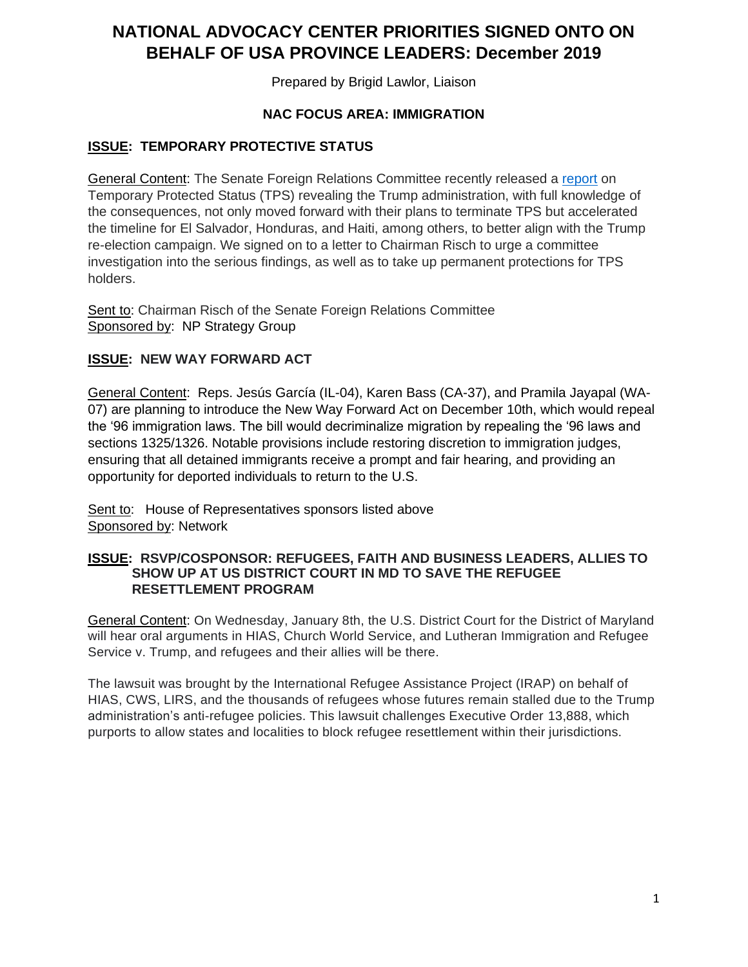# **NATIONAL ADVOCACY CENTER PRIORITIES SIGNED ONTO ON BEHALF OF USA PROVINCE LEADERS: December 2019**

Prepared by Brigid Lawlor, Liaison

## **NAC FOCUS AREA: IMMIGRATION**

#### **ISSUE: TEMPORARY PROTECTIVE STATUS**

General Content: The Senate Foreign Relations Committee recently released a [report](https://www.foreign.senate.gov/imo/media/doc/TPS%20Report%20FINAL.pdf) on Temporary Protected Status (TPS) revealing the Trump administration, with full knowledge of the consequences, not only moved forward with their plans to terminate TPS but accelerated the timeline for El Salvador, Honduras, and Haiti, among others, to better align with the Trump re-election campaign. We signed on to a letter to Chairman Risch to urge a committee investigation into the serious findings, as well as to take up permanent protections for TPS holders.

Sent to: Chairman Risch of the Senate Foreign Relations Committee Sponsored by: NP Strategy Group

## **ISSUE: NEW WAY FORWARD ACT**

General Content: Reps. Jesús García (IL-04), Karen Bass (CA-37), and Pramila Jayapal (WA-07) are planning to introduce the New Way Forward Act on December 10th, which would repeal the '96 immigration laws. The bill would decriminalize migration by repealing the '96 laws and sections 1325/1326. Notable provisions include restoring discretion to immigration judges, ensuring that all detained immigrants receive a prompt and fair hearing, and providing an opportunity for deported individuals to return to the U.S.

Sent to: House of Representatives sponsors listed above Sponsored by: Network

#### **ISSUE: RSVP/COSPONSOR: REFUGEES, FAITH AND BUSINESS LEADERS, ALLIES TO SHOW UP AT US DISTRICT COURT IN MD TO SAVE THE REFUGEE RESETTLEMENT PROGRAM**

General Content: On Wednesday, January 8th, the U.S. District Court for the District of Maryland will hear oral arguments in HIAS, Church World Service, and Lutheran Immigration and Refugee Service v. Trump, and refugees and their allies will be there.

The lawsuit was brought by the International Refugee Assistance Project (IRAP) on behalf of HIAS, CWS, LIRS, and the thousands of refugees whose futures remain stalled due to the Trump administration's anti-refugee policies. This lawsuit challenges Executive Order 13,888, which purports to allow states and localities to block refugee resettlement within their jurisdictions.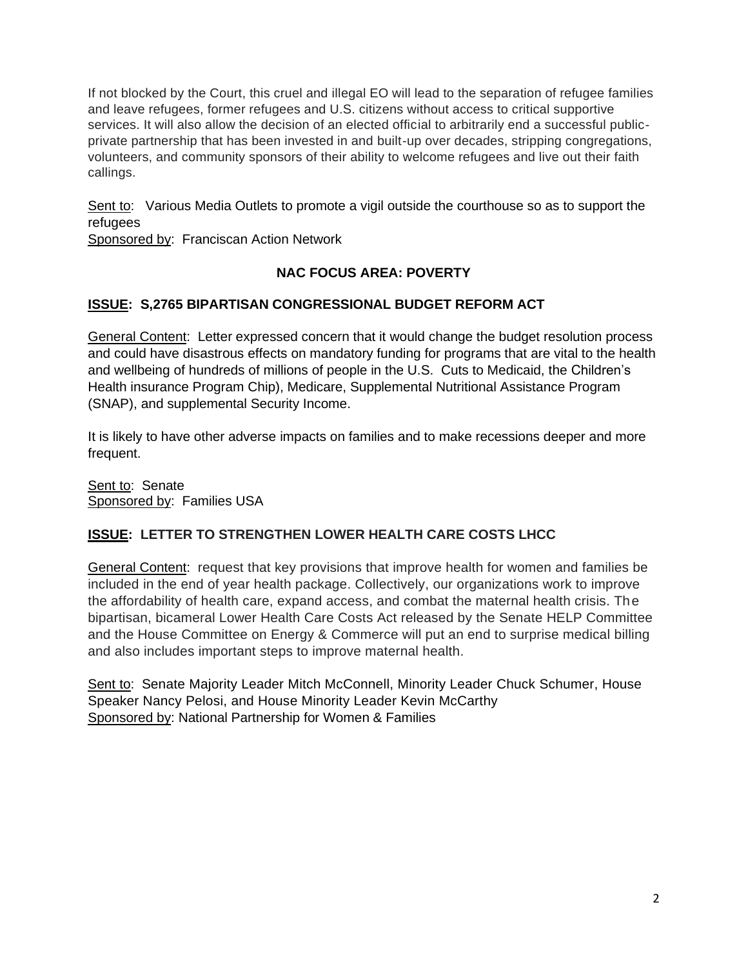If not blocked by the Court, this cruel and illegal EO will lead to the separation of refugee families and leave refugees, former refugees and U.S. citizens without access to critical supportive services. It will also allow the decision of an elected official to arbitrarily end a successful publicprivate partnership that has been invested in and built-up over decades, stripping congregations, volunteers, and community sponsors of their ability to welcome refugees and live out their faith callings.

Sent to: Various Media Outlets to promote a vigil outside the courthouse so as to support the refugees

Sponsored by: Franciscan Action Network

# **NAC FOCUS AREA: POVERTY**

# **ISSUE: S,2765 BIPARTISAN CONGRESSIONAL BUDGET REFORM ACT**

General Content: Letter expressed concern that it would change the budget resolution process and could have disastrous effects on mandatory funding for programs that are vital to the health and wellbeing of hundreds of millions of people in the U.S. Cuts to Medicaid, the Children's Health insurance Program Chip), Medicare, Supplemental Nutritional Assistance Program (SNAP), and supplemental Security Income.

It is likely to have other adverse impacts on families and to make recessions deeper and more frequent.

Sent to: Senate Sponsored by: Families USA

# **ISSUE: LETTER TO STRENGTHEN LOWER HEALTH CARE COSTS LHCC**

General Content: request that key provisions that improve health for women and families be included in the end of year health package. Collectively, our organizations work to improve the affordability of health care, expand access, and combat the maternal health crisis. The bipartisan, bicameral Lower Health Care Costs Act released by the Senate HELP Committee and the House Committee on Energy & Commerce will put an end to surprise medical billing and also includes important steps to improve maternal health.

Sent to: Senate Majority Leader Mitch McConnell, Minority Leader Chuck Schumer, House Speaker Nancy Pelosi, and House Minority Leader Kevin McCarthy Sponsored by: National Partnership for Women & Families